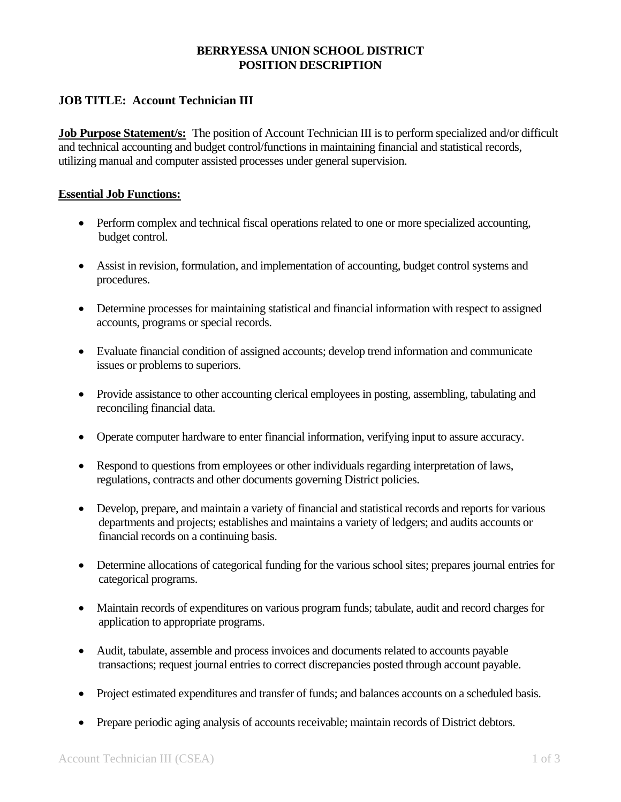## **BERRYESSA UNION SCHOOL DISTRICT POSITION DESCRIPTION**

## **JOB TITLE: Account Technician III**

**Job Purpose Statement/s:** The position of Account Technician III is to perform specialized and/or difficult and technical accounting and budget control/functions in maintaining financial and statistical records, utilizing manual and computer assisted processes under general supervision.

#### **Essential Job Functions:**

- Perform complex and technical fiscal operations related to one or more specialized accounting, budget control.
- Assist in revision, formulation, and implementation of accounting, budget control systems and procedures.
- Determine processes for maintaining statistical and financial information with respect to assigned accounts, programs or special records.
- Evaluate financial condition of assigned accounts; develop trend information and communicate issues or problems to superiors.
- Provide assistance to other accounting clerical employees in posting, assembling, tabulating and reconciling financial data.
- Operate computer hardware to enter financial information, verifying input to assure accuracy.
- Respond to questions from employees or other individuals regarding interpretation of laws, regulations, contracts and other documents governing District policies.
- Develop, prepare, and maintain a variety of financial and statistical records and reports for various departments and projects; establishes and maintains a variety of ledgers; and audits accounts or financial records on a continuing basis.
- Determine allocations of categorical funding for the various school sites; prepares journal entries for categorical programs.
- Maintain records of expenditures on various program funds; tabulate, audit and record charges for application to appropriate programs.
- Audit, tabulate, assemble and process invoices and documents related to accounts payable transactions; request journal entries to correct discrepancies posted through account payable.
- Project estimated expenditures and transfer of funds; and balances accounts on a scheduled basis.
- Prepare periodic aging analysis of accounts receivable; maintain records of District debtors.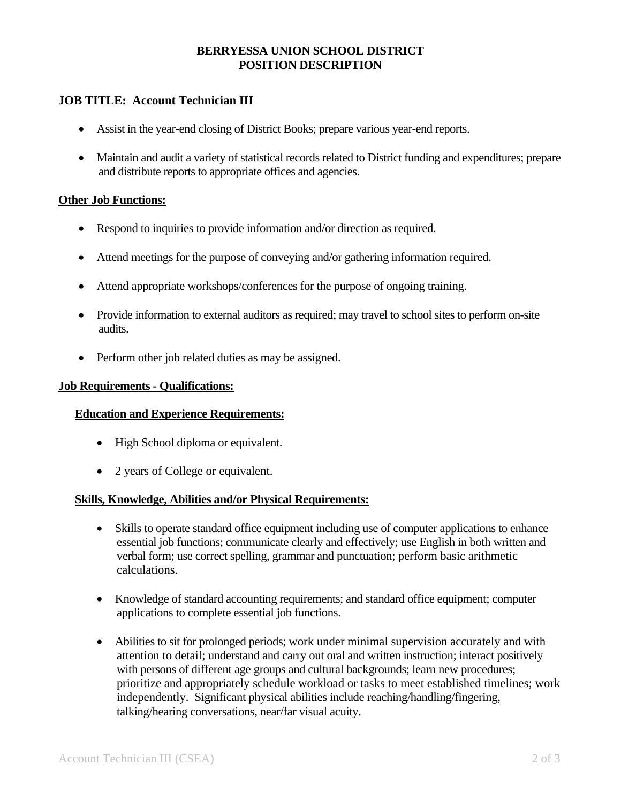## **BERRYESSA UNION SCHOOL DISTRICT POSITION DESCRIPTION**

## **JOB TITLE: Account Technician III**

- Assist in the year-end closing of District Books; prepare various year-end reports.
- Maintain and audit a variety of statistical records related to District funding and expenditures; prepare and distribute reports to appropriate offices and agencies.

### **Other Job Functions:**

- Respond to inquiries to provide information and/or direction as required.
- Attend meetings for the purpose of conveying and/or gathering information required.
- Attend appropriate workshops/conferences for the purpose of ongoing training.
- Provide information to external auditors as required; may travel to school sites to perform on-site audits.
- Perform other job related duties as may be assigned.

#### **Job Requirements - Qualifications:**

#### **Education and Experience Requirements:**

- High School diploma or equivalent.
- 2 years of College or equivalent.

#### **Skills, Knowledge, Abilities and/or Physical Requirements:**

- Skills to operate standard office equipment including use of computer applications to enhance essential job functions; communicate clearly and effectively; use English in both written and verbal form; use correct spelling, grammar and punctuation; perform basic arithmetic calculations.
- Knowledge of standard accounting requirements; and standard office equipment; computer applications to complete essential job functions.
- Abilities to sit for prolonged periods; work under minimal supervision accurately and with attention to detail; understand and carry out oral and written instruction; interact positively with persons of different age groups and cultural backgrounds; learn new procedures; prioritize and appropriately schedule workload or tasks to meet established timelines; work independently. Significant physical abilities include reaching/handling/fingering, talking/hearing conversations, near/far visual acuity.